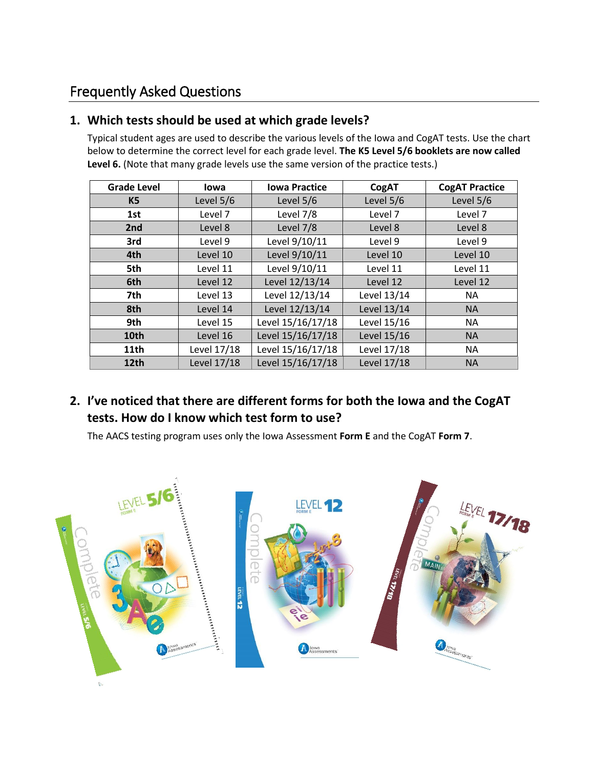# Frequently Asked Questions

## **1. Which tests should be used at which grade levels?**

Typical student ages are used to describe the various levels of the Iowa and CogAT tests. Use the chart below to determine the correct level for each grade level. **The K5 Level 5/6 booklets are now called Level 6.** (Note that many grade levels use the same version of the practice tests.)

| <b>Grade Level</b> | <b>lowa</b> | <b>Iowa Practice</b> | CogAT       | <b>CogAT Practice</b> |  |
|--------------------|-------------|----------------------|-------------|-----------------------|--|
| K5                 | Level 5/6   | Level 5/6            | Level 5/6   | Level 5/6             |  |
| 1st                | Level 7     | Level 7/8            | Level 7     | Level 7               |  |
| 2nd                | Level 8     | Level 7/8            | Level 8     | Level 8               |  |
| 3rd                | Level 9     | Level 9/10/11        | Level 9     | Level 9               |  |
| 4th                | Level 10    | Level 9/10/11        | Level 10    | Level 10              |  |
| 5th                | Level 11    | Level 9/10/11        | Level 11    | Level 11              |  |
| 6th                | Level 12    | Level 12/13/14       | Level 12    | Level 12              |  |
| 7th                | Level 13    | Level 12/13/14       | Level 13/14 | <b>NA</b>             |  |
| 8th                | Level 14    | Level 12/13/14       | Level 13/14 | <b>NA</b>             |  |
| 9th                | Level 15    | Level 15/16/17/18    | Level 15/16 | <b>NA</b>             |  |
| 10th               | Level 16    | Level 15/16/17/18    | Level 15/16 | <b>NA</b>             |  |
| 11 <sub>th</sub>   | Level 17/18 | Level 15/16/17/18    | Level 17/18 | <b>NA</b>             |  |
| 12th               | Level 17/18 | Level 15/16/17/18    | Level 17/18 | <b>NA</b>             |  |

# **2. I've noticed that there are different forms for both the Iowa and the CogAT tests. How do I know which test form to use?**

The AACS testing program uses only the Iowa Assessment **Form E** and the CogAT **Form 7**.

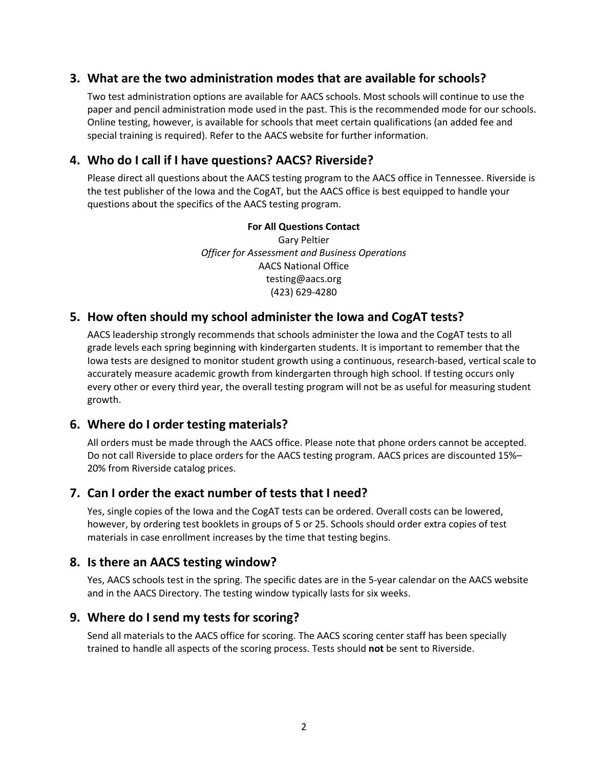### **3. What are the two administration modes that are available for schools?**

Two test administration options are available for AACS schools. Most schools will continue to use the paper and pencil administration mode used in the past. This is the recommended mode for our schools. Online testing, however, is available for schools that meet certain qualifications (an added fee and special training is required). Refer to the AACS website for further information.

### **4. Who do I call if I have questions? AACS? Riverside?**

Please direct all questions about the AACS testing program to the AACS office in Tennessee. Riverside is the test publisher of the Iowa and the CogAT, but the AACS office is best equipped to handle your questions about the specifics of the AACS testing program.

### **For All Questions Contact**

Gary Peltier *Officer for Assessment and Business Operations* AACS National Office testing@aacs.org (423) 629-4280

### **5. How often should my school administer the Iowa and CogAT tests?**

AACS leadership strongly recommends that schools administer the Iowa and the CogAT tests to all grade levels each spring beginning with kindergarten students. It is important to remember that the Iowa tests are designed to monitor student growth using a continuous, research-based, vertical scale to accurately measure academic growth from kindergarten through high school. If testing occurs only every other or every third year, the overall testing program will not be as useful for measuring student growth.

### **6. Where do I order testing materials?**

All orders must be made through the AACS office. Please note that phone orders cannot be accepted. Do not call Riverside to place orders for the AACS testing program. AACS prices are discounted 15%– 20% from Riverside catalog prices.

### **7. Can I order the exact number of tests that I need?**

Yes, single copies of the Iowa and the CogAT tests can be ordered. Overall costs can be lowered, however, by ordering test booklets in groups of 5 or 25. Schools should order extra copies of test materials in case enrollment increases by the time that testing begins.

### **8. Is there an AACS testing window?**

Yes, AACS schools test in the spring. The specific dates are in the 5-year calendar on the AACS website and in the AACS Directory. The testing window typically lasts for six weeks.

### **9. Where do I send my tests for scoring?**

Send all materials to the AACS office for scoring. The AACS scoring center staff has been specially trained to handle all aspects of the scoring process. Tests should **not** be sent to Riverside.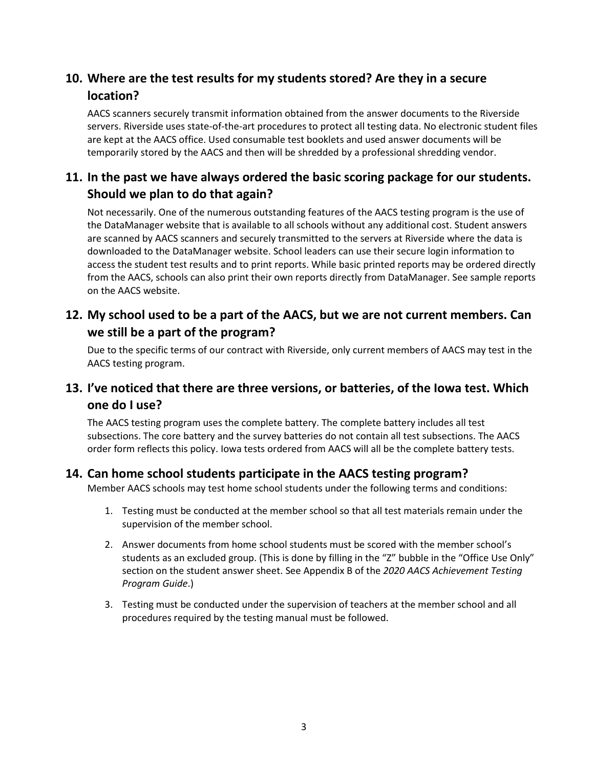# **10. Where are the test results for my students stored? Are they in a secure location?**

AACS scanners securely transmit information obtained from the answer documents to the Riverside servers. Riverside uses state-of-the-art procedures to protect all testing data. No electronic student files are kept at the AACS office. Used consumable test booklets and used answer documents will be temporarily stored by the AACS and then will be shredded by a professional shredding vendor.

### **11. In the past we have always ordered the basic scoring package for our students. Should we plan to do that again?**

Not necessarily. One of the numerous outstanding features of the AACS testing program is the use of the DataManager website that is available to all schools without any additional cost. Student answers are scanned by AACS scanners and securely transmitted to the servers at Riverside where the data is downloaded to the DataManager website. School leaders can use their secure login information to access the student test results and to print reports. While basic printed reports may be ordered directly from the AACS, schools can also print their own reports directly from DataManager. See sample reports on the AACS website.

### **12. My school used to be a part of the AACS, but we are not current members. Can we still be a part of the program?**

Due to the specific terms of our contract with Riverside, only current members of AACS may test in the AACS testing program.

### **13. I've noticed that there are three versions, or batteries, of the Iowa test. Which one do I use?**

The AACS testing program uses the complete battery. The complete battery includes all test subsections. The core battery and the survey batteries do not contain all test subsections. The AACS order form reflects this policy. Iowa tests ordered from AACS will all be the complete battery tests.

### **14. Can home school students participate in the AACS testing program?**

Member AACS schools may test home school students under the following terms and conditions:

- 1. Testing must be conducted at the member school so that all test materials remain under the supervision of the member school.
- 2. Answer documents from home school students must be scored with the member school's students as an excluded group. (This is done by filling in the "Z" bubble in the "Office Use Only" section on the student answer sheet. See Appendix B of the *2020 AACS Achievement Testing Program Guide*.)
- 3. Testing must be conducted under the supervision of teachers at the member school and all procedures required by the testing manual must be followed.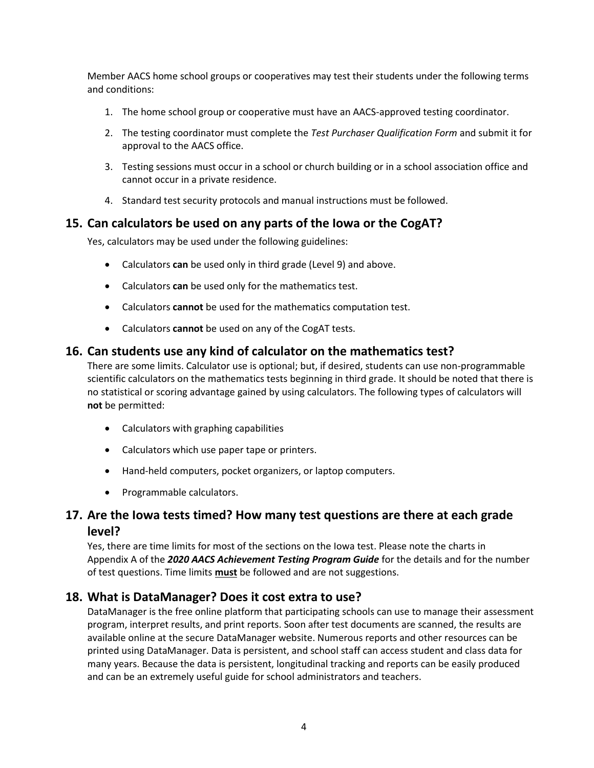Member AACS home school groups or cooperatives may test their students under the following terms and conditions:

- 1. The home school group or cooperative must have an AACS-approved testing coordinator.
- 2. The testing coordinator must complete the *Test Purchaser Qualification Form* and submit it for approval to the AACS office.
- 3. Testing sessions must occur in a school or church building or in a school association office and cannot occur in a private residence.
- 4. Standard test security protocols and manual instructions must be followed.

### **15. Can calculators be used on any parts of the Iowa or the CogAT?**

Yes, calculators may be used under the following guidelines:

- Calculators **can** be used only in third grade (Level 9) and above.
- Calculators **can** be used only for the mathematics test.
- Calculators **cannot** be used for the mathematics computation test.
- Calculators **cannot** be used on any of the CogAT tests.

### **16. Can students use any kind of calculator on the mathematics test?**

There are some limits. Calculator use is optional; but, if desired, students can use non-programmable scientific calculators on the mathematics tests beginning in third grade. It should be noted that there is no statistical or scoring advantage gained by using calculators. The following types of calculators will **not** be permitted:

- Calculators with graphing capabilities
- Calculators which use paper tape or printers.
- Hand-held computers, pocket organizers, or laptop computers.
- Programmable calculators.

### **17. Are the Iowa tests timed? How many test questions are there at each grade level?**

Yes, there are time limits for most of the sections on the Iowa test. Please note the charts in Appendix A of the *2020 AACS Achievement Testing Program Guide* for the details and for the number of test questions. Time limits **must** be followed and are not suggestions.

### **18. What is DataManager? Does it cost extra to use?**

DataManager is the free online platform that participating schools can use to manage their assessment program, interpret results, and print reports. Soon after test documents are scanned, the results are available online at the secure DataManager website. Numerous reports and other resources can be printed using DataManager. Data is persistent, and school staff can access student and class data for many years. Because the data is persistent, longitudinal tracking and reports can be easily produced and can be an extremely useful guide for school administrators and teachers.